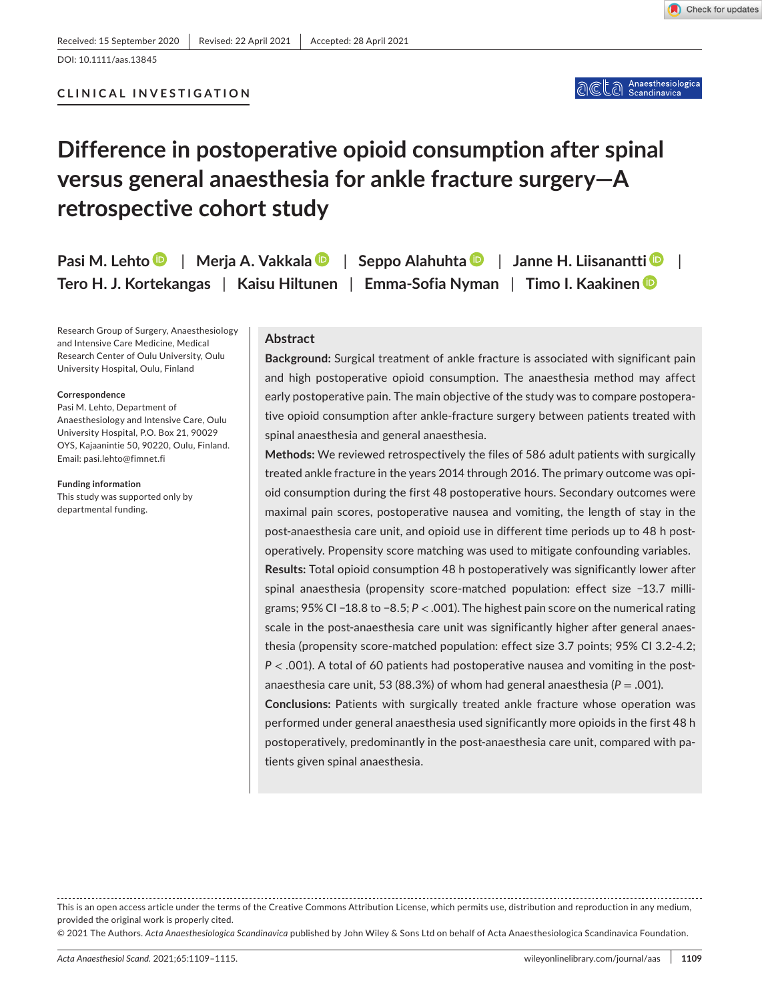## **CLINICAL INVESTIGATION**

# **Difference in postoperative opioid consumption after spinal versus general anaesthesia for ankle fracture surgery—A retrospective cohort study**

| Pasi M. Lehto   Merja A. Vakkala   Seppo Alahuhta   Janne H. Liisanantti      |  |  |
|-------------------------------------------------------------------------------|--|--|
| Tero H. J. Kortekangas   Kaisu Hiltunen   Emma-Sofia Nyman   Timo I. Kaakinen |  |  |

Research Group of Surgery, Anaesthesiology and Intensive Care Medicine, Medical Research Center of Oulu University, Oulu University Hospital, Oulu, Finland

#### **Correspondence**

Pasi M. Lehto, Department of Anaesthesiology and Intensive Care, Oulu University Hospital, P.O. Box 21, 90029 OYS, Kajaanintie 50, 90220, Oulu, Finland. Email: [pasi.lehto@fimnet.fi](mailto:pasi.lehto@fimnet.fi)

**Funding information** This study was supported only by departmental funding.

## **Abstract**

**Background:** Surgical treatment of ankle fracture is associated with significant pain and high postoperative opioid consumption. The anaesthesia method may affect early postoperative pain. The main objective of the study was to compare postoperative opioid consumption after ankle-fracture surgery between patients treated with spinal anaesthesia and general anaesthesia.

**Methods:** We reviewed retrospectively the files of 586 adult patients with surgically treated ankle fracture in the years 2014 through 2016. The primary outcome was opioid consumption during the first 48 postoperative hours. Secondary outcomes were maximal pain scores, postoperative nausea and vomiting, the length of stay in the post-anaesthesia care unit, and opioid use in different time periods up to 48 h postoperatively. Propensity score matching was used to mitigate confounding variables. **Results:** Total opioid consumption 48 h postoperatively was significantly lower after spinal anaesthesia (propensity score-matched population: effect size −13.7 milligrams; 95% CI −18.8 to −8.5; *P* < .001). The highest pain score on the numerical rating scale in the post-anaesthesia care unit was significantly higher after general anaesthesia (propensity score-matched population: effect size 3.7 points; 95% CI 3.2-4.2; *P* < .001). A total of 60 patients had postoperative nausea and vomiting in the postanaesthesia care unit, 53 (88.3%) of whom had general anaesthesia (*P* = .001).

**Conclusions:** Patients with surgically treated ankle fracture whose operation was performed under general anaesthesia used significantly more opioids in the first 48 h postoperatively, predominantly in the post-anaesthesia care unit, compared with patients given spinal anaesthesia.

© 2021 The Authors. *Acta Anaesthesiologica Scandinavica* published by John Wiley & Sons Ltd on behalf of Acta Anaesthesiologica Scandinavica Foundation.

This is an open access article under the terms of the [Creative Commons Attribution](http://creativecommons.org/licenses/by/4.0/) License, which permits use, distribution and reproduction in any medium, provided the original work is properly cited.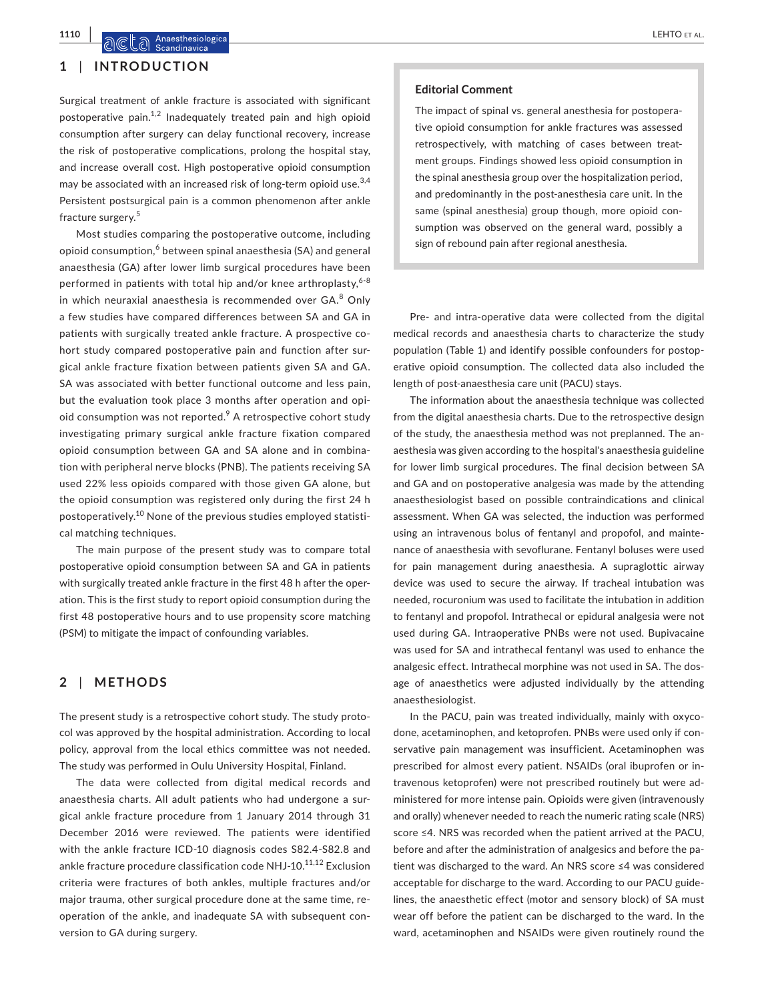## **1** | **INTRODUCTION**

Surgical treatment of ankle fracture is associated with significant postoperative pain.<sup>1,2</sup> Inadequately treated pain and high opioid consumption after surgery can delay functional recovery, increase the risk of postoperative complications, prolong the hospital stay, and increase overall cost. High postoperative opioid consumption may be associated with an increased risk of long-term opioid use.<sup>3,4</sup> Persistent postsurgical pain is a common phenomenon after ankle fracture surgery.<sup>5</sup>

Most studies comparing the postoperative outcome, including opioid consumption,<sup>6</sup> between spinal anaesthesia (SA) and general anaesthesia (GA) after lower limb surgical procedures have been performed in patients with total hip and/or knee arthroplasty. $6-8$ in which neuraxial anaesthesia is recommended over GA.<sup>8</sup> Only a few studies have compared differences between SA and GA in patients with surgically treated ankle fracture. A prospective cohort study compared postoperative pain and function after surgical ankle fracture fixation between patients given SA and GA. SA was associated with better functional outcome and less pain, but the evaluation took place 3 months after operation and opioid consumption was not reported.<sup>9</sup> A retrospective cohort study investigating primary surgical ankle fracture fixation compared opioid consumption between GA and SA alone and in combination with peripheral nerve blocks (PNB). The patients receiving SA used 22% less opioids compared with those given GA alone, but the opioid consumption was registered only during the first 24 h postoperatively.10 None of the previous studies employed statistical matching techniques.

The main purpose of the present study was to compare total postoperative opioid consumption between SA and GA in patients with surgically treated ankle fracture in the first 48 h after the operation. This is the first study to report opioid consumption during the first 48 postoperative hours and to use propensity score matching (PSM) to mitigate the impact of confounding variables.

## **2** | **METHODS**

The present study is a retrospective cohort study. The study protocol was approved by the hospital administration. According to local policy, approval from the local ethics committee was not needed. The study was performed in Oulu University Hospital, Finland.

The data were collected from digital medical records and anaesthesia charts. All adult patients who had undergone a surgical ankle fracture procedure from 1 January 2014 through 31 December 2016 were reviewed. The patients were identified with the ankle fracture ICD-10 diagnosis codes S82.4-S82.8 and ankle fracture procedure classification code NHJ-10.<sup>11,12</sup> Exclusion criteria were fractures of both ankles, multiple fractures and/or major trauma, other surgical procedure done at the same time, reoperation of the ankle, and inadequate SA with subsequent conversion to GA during surgery.

#### **Editorial Comment**

The impact of spinal vs. general anesthesia for postoperative opioid consumption for ankle fractures was assessed retrospectively, with matching of cases between treatment groups. Findings showed less opioid consumption in the spinal anesthesia group over the hospitalization period, and predominantly in the post-anesthesia care unit. In the same (spinal anesthesia) group though, more opioid consumption was observed on the general ward, possibly a sign of rebound pain after regional anesthesia.

Pre- and intra-operative data were collected from the digital medical records and anaesthesia charts to characterize the study population (Table 1) and identify possible confounders for postoperative opioid consumption. The collected data also included the length of post-anaesthesia care unit (PACU) stays.

The information about the anaesthesia technique was collected from the digital anaesthesia charts. Due to the retrospective design of the study, the anaesthesia method was not preplanned. The anaesthesia was given according to the hospital's anaesthesia guideline for lower limb surgical procedures. The final decision between SA and GA and on postoperative analgesia was made by the attending anaesthesiologist based on possible contraindications and clinical assessment. When GA was selected, the induction was performed using an intravenous bolus of fentanyl and propofol, and maintenance of anaesthesia with sevoflurane. Fentanyl boluses were used for pain management during anaesthesia. A supraglottic airway device was used to secure the airway. If tracheal intubation was needed, rocuronium was used to facilitate the intubation in addition to fentanyl and propofol. Intrathecal or epidural analgesia were not used during GA. Intraoperative PNBs were not used. Bupivacaine was used for SA and intrathecal fentanyl was used to enhance the analgesic effect. Intrathecal morphine was not used in SA. The dosage of anaesthetics were adjusted individually by the attending anaesthesiologist.

In the PACU, pain was treated individually, mainly with oxycodone, acetaminophen, and ketoprofen. PNBs were used only if conservative pain management was insufficient. Acetaminophen was prescribed for almost every patient. NSAIDs (oral ibuprofen or intravenous ketoprofen) were not prescribed routinely but were administered for more intense pain. Opioids were given (intravenously and orally) whenever needed to reach the numeric rating scale (NRS) score ≤4. NRS was recorded when the patient arrived at the PACU, before and after the administration of analgesics and before the patient was discharged to the ward. An NRS score ≤4 was considered acceptable for discharge to the ward. According to our PACU guidelines, the anaesthetic effect (motor and sensory block) of SA must wear off before the patient can be discharged to the ward. In the ward, acetaminophen and NSAIDs were given routinely round the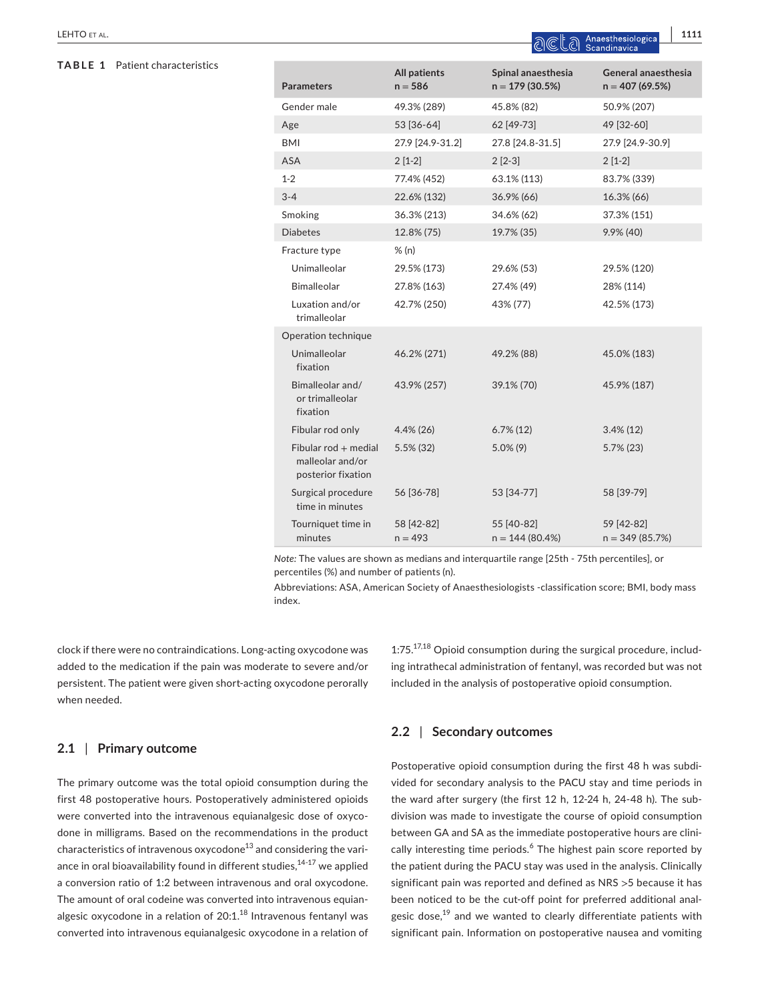## **TABLE 1** Patient characteristics

|                                                                 |                                  | en ایا کا دی است                       |                                         |  |
|-----------------------------------------------------------------|----------------------------------|----------------------------------------|-----------------------------------------|--|
| <b>Parameters</b>                                               | <b>All patients</b><br>$n = 586$ | Spinal anaesthesia<br>$n = 179(30.5%)$ | General anaesthesia<br>$n = 407(69.5%)$ |  |
| Gender male                                                     | 49.3% (289)                      | 45.8% (82)                             | 50.9% (207)                             |  |
| Age                                                             | 53 [36-64]                       | 62 [49-73]                             | 49 [32-60]                              |  |
| BMI                                                             | 27.9 [24.9-31.2]                 | 27.8 [24.8-31.5]                       | 27.9 [24.9-30.9]                        |  |
| ASA                                                             | $2[1-2]$                         | $2[2-3]$                               | $2[1-2]$                                |  |
| $1 - 2$                                                         | 77.4% (452)                      | 63.1% (113)                            | 83.7% (339)                             |  |
| $3 - 4$                                                         | 22.6% (132)                      | 36.9% (66)                             | 16.3% (66)                              |  |
| Smoking                                                         | 36.3% (213)                      | 34.6% (62)                             | 37.3% (151)                             |  |
| <b>Diabetes</b>                                                 | 12.8% (75)                       | 19.7% (35)                             | 9.9% (40)                               |  |
| Fracture type                                                   | % (n)                            |                                        |                                         |  |
| Unimalleolar                                                    | 29.5% (173)                      | 29.6% (53)                             | 29.5% (120)                             |  |
| Bimalleolar                                                     | 27.8% (163)                      | 27.4% (49)                             | 28% (114)                               |  |
| Luxation and/or<br>trimalleolar                                 | 42.7% (250)                      | 43% (77)                               | 42.5% (173)                             |  |
| Operation technique                                             |                                  |                                        |                                         |  |
| Unimalleolar<br>fixation                                        | 46.2% (271)                      | 49.2% (88)                             | 45.0% (183)                             |  |
| Bimalleolar and/<br>or trimalleolar<br>fixation                 | 43.9% (257)                      | 39.1% (70)                             | 45.9% (187)                             |  |
| Fibular rod only                                                | $4.4\%$ (26)                     | $6.7\%$ (12)                           | $3.4\%$ (12)                            |  |
| $Fibularrod + medial$<br>malleolar and/or<br>posterior fixation | $5.5\%$ (32)                     | $5.0\%$ (9)                            | $5.7\%$ (23)                            |  |
| Surgical procedure<br>time in minutes                           | 56 [36-78]                       | 53 [34-77]                             | 58 [39-79]                              |  |
| Tourniquet time in<br>minutes                                   | 58 [42-82]<br>$n = 493$          | 55 [40-82]<br>$n = 144(80.4%)$         | 59 [42-82]<br>$n = 349(85.7%)$          |  |

*Note:* The values are shown as medians and interquartile range [25th - 75th percentiles], or percentiles (%) and number of patients (n).

Abbreviations: ASA, American Society of Anaesthesiologists -classification score; BMI, body mass index.

clock if there were no contraindications. Long-acting oxycodone was added to the medication if the pain was moderate to severe and/or persistent. The patient were given short-acting oxycodone perorally when needed.

### **2.1** | **Primary outcome**

The primary outcome was the total opioid consumption during the first 48 postoperative hours. Postoperatively administered opioids were converted into the intravenous equianalgesic dose of oxycodone in milligrams. Based on the recommendations in the product characteristics of intravenous oxycodone<sup>13</sup> and considering the variance in oral bioavailability found in different studies,<sup>14-17</sup> we applied a conversion ratio of 1:2 between intravenous and oral oxycodone. The amount of oral codeine was converted into intravenous equianalgesic oxycodone in a relation of  $20:1.^{18}$  Intravenous fentanyl was converted into intravenous equianalgesic oxycodone in a relation of  $1:75$ .<sup>17,18</sup> Opioid consumption during the surgical procedure, including intrathecal administration of fentanyl, was recorded but was not included in the analysis of postoperative opioid consumption.

## **2.2** | **Secondary outcomes**

Postoperative opioid consumption during the first 48 h was subdivided for secondary analysis to the PACU stay and time periods in the ward after surgery (the first 12 h, 12-24 h, 24-48 h). The subdivision was made to investigate the course of opioid consumption between GA and SA as the immediate postoperative hours are clinically interesting time periods.<sup>6</sup> The highest pain score reported by the patient during the PACU stay was used in the analysis. Clinically significant pain was reported and defined as NRS >5 because it has been noticed to be the cut-off point for preferred additional analgesic dose,<sup>19</sup> and we wanted to clearly differentiate patients with significant pain. Information on postoperative nausea and vomiting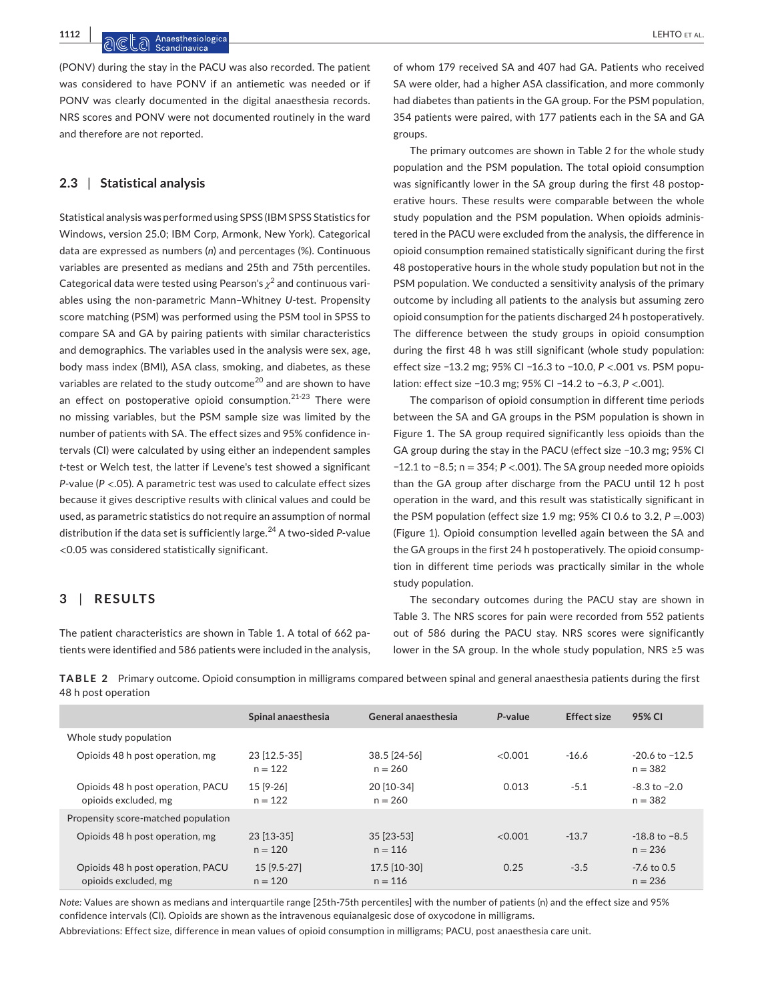**1112 |**  LEHTO et al.

(PONV) during the stay in the PACU was also recorded. The patient was considered to have PONV if an antiemetic was needed or if PONV was clearly documented in the digital anaesthesia records. NRS scores and PONV were not documented routinely in the ward and therefore are not reported.

## **2.3** | **Statistical analysis**

Statistical analysis was performed using SPSS (IBM SPSS Statistics for Windows, version 25.0; IBM Corp, Armonk, New York). Categorical data are expressed as numbers (*n*) and percentages (%). Continuous variables are presented as medians and 25th and 75th percentiles. Categorical data were tested using Pearson's  $\chi^2$  and continuous variables using the non-parametric Mann–Whitney *U*-test. Propensity score matching (PSM) was performed using the PSM tool in SPSS to compare SA and GA by pairing patients with similar characteristics and demographics. The variables used in the analysis were sex, age, body mass index (BMI), ASA class, smoking, and diabetes, as these variables are related to the study outcome<sup>20</sup> and are shown to have an effect on postoperative opioid consumption.<sup>21-23</sup> There were no missing variables, but the PSM sample size was limited by the number of patients with SA. The effect sizes and 95% confidence intervals (CI) were calculated by using either an independent samples *t*-test or Welch test, the latter if Levene's test showed a significant *P*-value (*P* <.05). A parametric test was used to calculate effect sizes because it gives descriptive results with clinical values and could be used, as parametric statistics do not require an assumption of normal distribution if the data set is sufficiently large.24 A two-sided *P*-value <0.05 was considered statistically significant.

## **3** | **RESULTS**

The patient characteristics are shown in Table 1. A total of 662 patients were identified and 586 patients were included in the analysis,

of whom 179 received SA and 407 had GA. Patients who received SA were older, had a higher ASA classification, and more commonly had diabetes than patients in the GA group. For the PSM population, 354 patients were paired, with 177 patients each in the SA and GA groups.

The primary outcomes are shown in Table 2 for the whole study population and the PSM population. The total opioid consumption was significantly lower in the SA group during the first 48 postoperative hours. These results were comparable between the whole study population and the PSM population. When opioids administered in the PACU were excluded from the analysis, the difference in opioid consumption remained statistically significant during the first 48 postoperative hours in the whole study population but not in the PSM population. We conducted a sensitivity analysis of the primary outcome by including all patients to the analysis but assuming zero opioid consumption for the patients discharged 24 h postoperatively. The difference between the study groups in opioid consumption during the first 48 h was still significant (whole study population: effect size −13.2 mg; 95% CI −16.3 to −10.0, *P* <.001 vs. PSM population: effect size −10.3 mg; 95% CI −14.2 to −6.3, *P* <.001).

The comparison of opioid consumption in different time periods between the SA and GA groups in the PSM population is shown in Figure 1. The SA group required significantly less opioids than the GA group during the stay in the PACU (effect size −10.3 mg; 95% CI −12.1 to −8.5; n = 354; *P* <.001). The SA group needed more opioids than the GA group after discharge from the PACU until 12 h post operation in the ward, and this result was statistically significant in the PSM population (effect size 1.9 mg;  $95\%$  CI 0.6 to 3.2,  $P = .003$ ) (Figure 1). Opioid consumption levelled again between the SA and the GA groups in the first 24 h postoperatively. The opioid consumption in different time periods was practically similar in the whole study population.

The secondary outcomes during the PACU stay are shown in Table 3. The NRS scores for pain were recorded from 552 patients out of 586 during the PACU stay. NRS scores were significantly lower in the SA group. In the whole study population, NRS ≥5 was

**TABLE 2** Primary outcome. Opioid consumption in milligrams compared between spinal and general anaesthesia patients during the first 48 h post operation

|                                                           | Spinal anaesthesia         | General anaesthesia       | P-value | <b>Effect size</b> | 95% CI                          |
|-----------------------------------------------------------|----------------------------|---------------------------|---------|--------------------|---------------------------------|
| Whole study population                                    |                            |                           |         |                    |                                 |
| Opioids 48 h post operation, mg                           | 23 [12.5-35]<br>$n = 122$  | 38.5 [24-56]<br>$n = 260$ | < 0.001 | $-16.6$            | $-20.6$ to $-12.5$<br>$n = 382$ |
| Opioids 48 h post operation, PACU<br>opioids excluded, mg | 15 [9-26]<br>$n = 122$     | 20 [10-34]<br>$n = 260$   | 0.013   | $-5.1$             | $-8.3$ to $-2.0$<br>$n = 382$   |
| Propensity score-matched population                       |                            |                           |         |                    |                                 |
| Opioids 48 h post operation, mg                           | 23 [13-35]<br>$n = 120$    | 35 [23-53]<br>$n = 116$   | < 0.001 | $-13.7$            | $-18.8$ to $-8.5$<br>$n = 236$  |
| Opioids 48 h post operation, PACU<br>opioids excluded, mg | $15$ [9.5-27]<br>$n = 120$ | 17.5 [10-30]<br>$n = 116$ | 0.25    | $-3.5$             | $-7.6$ to 0.5<br>$n = 236$      |

*Note:* Values are shown as medians and interquartile range [25th-75th percentiles] with the number of patients (n) and the effect size and 95% confidence intervals (CI). Opioids are shown as the intravenous equianalgesic dose of oxycodone in milligrams.

Abbreviations: Effect size, difference in mean values of opioid consumption in milligrams; PACU, post anaesthesia care unit.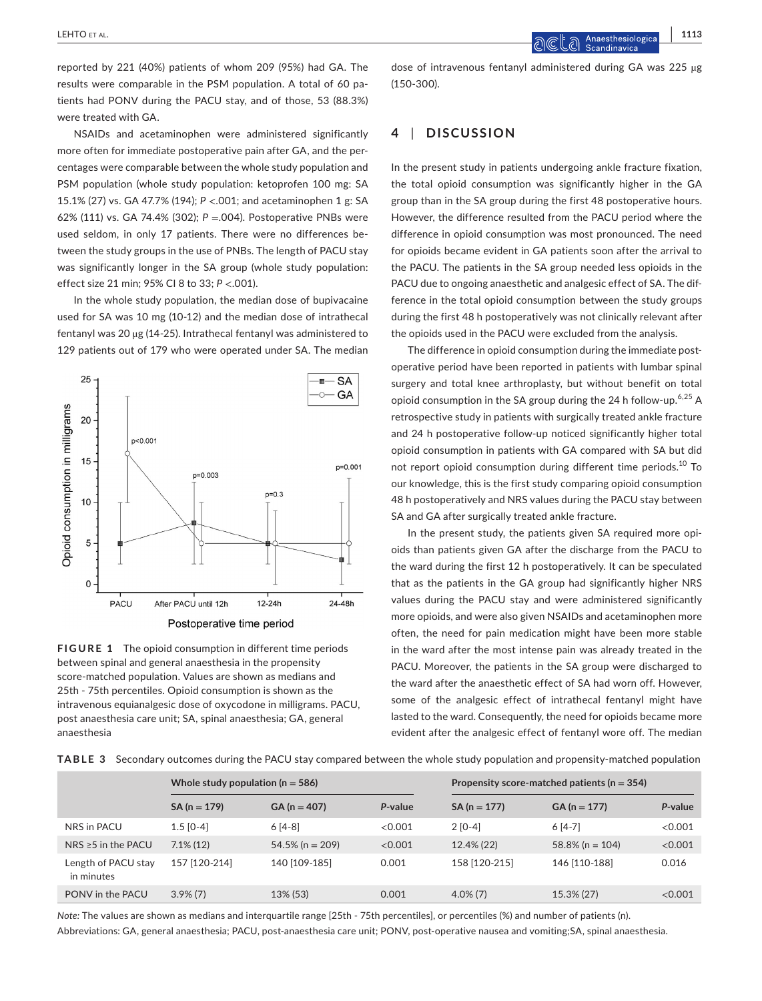reported by 221 (40%) patients of whom 209 (95%) had GA. The results were comparable in the PSM population. A total of 60 patients had PONV during the PACU stay, and of those, 53 (88.3%) were treated with GA.

NSAIDs and acetaminophen were administered significantly more often for immediate postoperative pain after GA, and the percentages were comparable between the whole study population and PSM population (whole study population: ketoprofen 100 mg: SA 15.1% (27) vs. GA 47.7% (194); *P* <.001; and acetaminophen 1 g: SA 62% (111) vs. GA 74.4% (302); *P* =.004). Postoperative PNBs were used seldom, in only 17 patients. There were no differences between the study groups in the use of PNBs. The length of PACU stay was significantly longer in the SA group (whole study population: effect size 21 min; 95% CI 8 to 33; *P* <.001).

In the whole study population, the median dose of bupivacaine used for SA was 10 mg (10-12) and the median dose of intrathecal fentanyl was 20 µg (14-25). Intrathecal fentanyl was administered to 129 patients out of 179 who were operated under SA. The median



**FIGURE 1** The opioid consumption in different time periods between spinal and general anaesthesia in the propensity score-matched population. Values are shown as medians and 25th - 75th percentiles. Opioid consumption is shown as the intravenous equianalgesic dose of oxycodone in milligrams. PACU, post anaesthesia care unit; SA, spinal anaesthesia; GA, general anaesthesia

dose of intravenous fentanyl administered during GA was 225 µg (150-300).

## **4** | **DISCUSSION**

In the present study in patients undergoing ankle fracture fixation, the total opioid consumption was significantly higher in the GA group than in the SA group during the first 48 postoperative hours. However, the difference resulted from the PACU period where the difference in opioid consumption was most pronounced. The need for opioids became evident in GA patients soon after the arrival to the PACU. The patients in the SA group needed less opioids in the PACU due to ongoing anaesthetic and analgesic effect of SA. The difference in the total opioid consumption between the study groups during the first 48 h postoperatively was not clinically relevant after the opioids used in the PACU were excluded from the analysis.

The difference in opioid consumption during the immediate postoperative period have been reported in patients with lumbar spinal surgery and total knee arthroplasty, but without benefit on total opioid consumption in the SA group during the 24 h follow-up.<sup>6,25</sup> A retrospective study in patients with surgically treated ankle fracture and 24 h postoperative follow-up noticed significantly higher total opioid consumption in patients with GA compared with SA but did not report opioid consumption during different time periods.<sup>10</sup> To our knowledge, this is the first study comparing opioid consumption 48 h postoperatively and NRS values during the PACU stay between SA and GA after surgically treated ankle fracture.

In the present study, the patients given SA required more opioids than patients given GA after the discharge from the PACU to the ward during the first 12 h postoperatively. It can be speculated that as the patients in the GA group had significantly higher NRS values during the PACU stay and were administered significantly more opioids, and were also given NSAIDs and acetaminophen more often, the need for pain medication might have been more stable in the ward after the most intense pain was already treated in the PACU. Moreover, the patients in the SA group were discharged to the ward after the anaesthetic effect of SA had worn off. However, some of the analgesic effect of intrathecal fentanyl might have lasted to the ward. Consequently, the need for opioids became more evident after the analgesic effect of fentanyl wore off. The median

**TABLE 3** Secondary outcomes during the PACU stay compared between the whole study population and propensity-matched population

|                                   | Whole study population ( $n = 586$ ) |                    |         | Propensity score-matched patients ( $n = 354$ ) |                    |         |
|-----------------------------------|--------------------------------------|--------------------|---------|-------------------------------------------------|--------------------|---------|
|                                   | $SA (n = 179)$                       | $GA (n = 407)$     | P-value | $SA (n = 177)$                                  | $GA (n = 177)$     | P-value |
| NRS in PACU                       | $1.5$ [0-4]                          | $6[4-8]$           | <0.001  | $2$ [0-4]                                       | $6[4-7]$           | < 0.001 |
| NRS $\geq$ 5 in the PACU          | $7.1\%$ (12)                         | $54.5\%$ (n = 209) | <0.001  | 12.4% (22)                                      | $58.8\%$ (n = 104) | < 0.001 |
| Length of PACU stay<br>in minutes | 157 [120-214]                        | 140 [109-185]      | 0.001   | 158 [120-215]                                   | 146 [110-188]      | 0.016   |
| PONV in the PACU                  | $3.9\%$ (7)                          | 13% (53)           | 0.001   | $4.0\%$ (7)                                     | 15.3% (27)         | <0.001  |

*Note:* The values are shown as medians and interquartile range [25th - 75th percentiles], or percentiles (%) and number of patients (n).

Abbreviations: GA, general anaesthesia; PACU, post-anaesthesia care unit; PONV, post-operative nausea and vomiting;SA, spinal anaesthesia.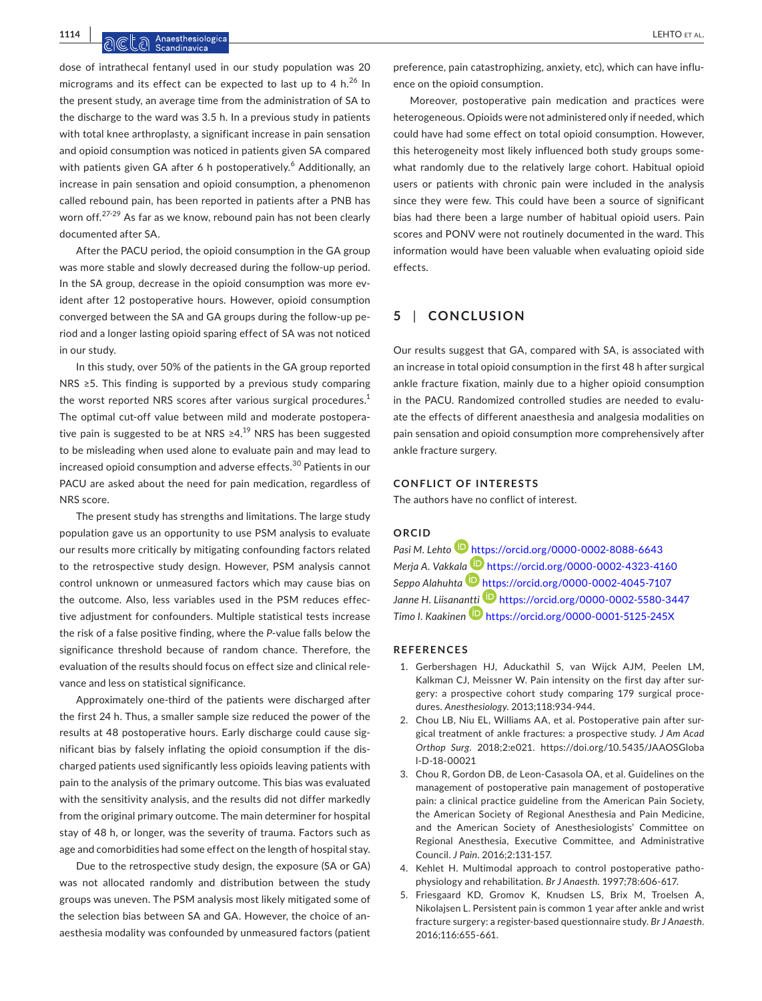**1114 |**  LEHTO et al.

dose of intrathecal fentanyl used in our study population was 20 micrograms and its effect can be expected to last up to 4  $h^{26}$  In the present study, an average time from the administration of SA to the discharge to the ward was 3.5 h. In a previous study in patients with total knee arthroplasty, a significant increase in pain sensation and opioid consumption was noticed in patients given SA compared with patients given GA after 6 h postoperatively.<sup>6</sup> Additionally, an increase in pain sensation and opioid consumption, a phenomenon called rebound pain, has been reported in patients after a PNB has worn off.<sup>27-29</sup> As far as we know, rebound pain has not been clearly documented after SA.

After the PACU period, the opioid consumption in the GA group was more stable and slowly decreased during the follow-up period. In the SA group, decrease in the opioid consumption was more evident after 12 postoperative hours. However, opioid consumption converged between the SA and GA groups during the follow-up period and a longer lasting opioid sparing effect of SA was not noticed in our study.

In this study, over 50% of the patients in the GA group reported NRS ≥5. This finding is supported by a previous study comparing the worst reported NRS scores after various surgical procedures.<sup>1</sup> The optimal cut-off value between mild and moderate postoperative pain is suggested to be at NRS  $\geq 4$ .<sup>19</sup> NRS has been suggested to be misleading when used alone to evaluate pain and may lead to increased opioid consumption and adverse effects.<sup>30</sup> Patients in our PACU are asked about the need for pain medication, regardless of NRS score.

The present study has strengths and limitations. The large study population gave us an opportunity to use PSM analysis to evaluate our results more critically by mitigating confounding factors related to the retrospective study design. However, PSM analysis cannot control unknown or unmeasured factors which may cause bias on the outcome. Also, less variables used in the PSM reduces effective adjustment for confounders. Multiple statistical tests increase the risk of a false positive finding, where the *P*-value falls below the significance threshold because of random chance. Therefore, the evaluation of the results should focus on effect size and clinical relevance and less on statistical significance.

Approximately one-third of the patients were discharged after the first 24 h. Thus, a smaller sample size reduced the power of the results at 48 postoperative hours. Early discharge could cause significant bias by falsely inflating the opioid consumption if the discharged patients used significantly less opioids leaving patients with pain to the analysis of the primary outcome. This bias was evaluated with the sensitivity analysis, and the results did not differ markedly from the original primary outcome. The main determiner for hospital stay of 48 h, or longer, was the severity of trauma. Factors such as age and comorbidities had some effect on the length of hospital stay.

Due to the retrospective study design, the exposure (SA or GA) was not allocated randomly and distribution between the study groups was uneven. The PSM analysis most likely mitigated some of the selection bias between SA and GA. However, the choice of anaesthesia modality was confounded by unmeasured factors (patient

preference, pain catastrophizing, anxiety, etc), which can have influence on the opioid consumption.

Moreover, postoperative pain medication and practices were heterogeneous. Opioids were not administered only if needed, which could have had some effect on total opioid consumption. However, this heterogeneity most likely influenced both study groups somewhat randomly due to the relatively large cohort. Habitual opioid users or patients with chronic pain were included in the analysis since they were few. This could have been a source of significant bias had there been a large number of habitual opioid users. Pain scores and PONV were not routinely documented in the ward. This information would have been valuable when evaluating opioid side effects.

## **5** | **CONCLUSION**

Our results suggest that GA, compared with SA, is associated with an increase in total opioid consumption in the first 48 h after surgical ankle fracture fixation, mainly due to a higher opioid consumption in the PACU. Randomized controlled studies are needed to evaluate the effects of different anaesthesia and analgesia modalities on pain sensation and opioid consumption more comprehensively after ankle fracture surgery.

### **CONFLICT OF INTERESTS**

The authors have no conflict of interest.

#### **ORCID**

*Pasi M. Lehto* <https://orcid.org/0000-0002-8088-6643> *Merja A. Vakkal[a](https://orcid.org/0000-0002-4045-7107)* <https://orcid.org/0000-0002-4323-4160> *Seppo Alahuhta* <https://orcid.org/0000-0002-4045-7107> *Janne H. Liisana[ntti](https://orcid.org/0000-0001-5125-245X)* <https://orcid.org/0000-0002-5580-3447> *Timo I. Kaakinen* <https://orcid.org/0000-0001-5125-245X>

## **REFERENCES**

- 1. Gerbershagen HJ, Aduckathil S, van Wijck AJM, Peelen LM, Kalkman CJ, Meissner W. Pain intensity on the first day after surgery: a prospective cohort study comparing 179 surgical procedures. *Anesthesiology*. 2013;118:934-944.
- 2. Chou LB, Niu EL, Williams AA, et al. Postoperative pain after surgical treatment of ankle fractures: a prospective study. *J Am Acad Orthop Surg*. 2018;2:e021. [https://doi.org/10.5435/JAAOSGloba](https://doi.org/10.5435/JAAOSGlobal-D-18-00021) [l-D-18-00021](https://doi.org/10.5435/JAAOSGlobal-D-18-00021)
- 3. Chou R, Gordon DB, de Leon-Casasola OA, et al. Guidelines on the management of postoperative pain management of postoperative pain: a clinical practice guideline from the American Pain Society, the American Society of Regional Anesthesia and Pain Medicine, and the American Society of Anesthesiologists' Committee on Regional Anesthesia, Executive Committee, and Administrative Council. *J Pain*. 2016;2:131-157.
- 4. Kehlet H. Multimodal approach to control postoperative pathophysiology and rehabilitation. *Br J Anaesth*. 1997;78:606-617.
- 5. Friesgaard KD, Gromov K, Knudsen LS, Brix M, Troelsen A, Nikolajsen L. Persistent pain is common 1 year after ankle and wrist fracture surgery: a register-based questionnaire study. *Br J Anaesth*. 2016;116:655-661.